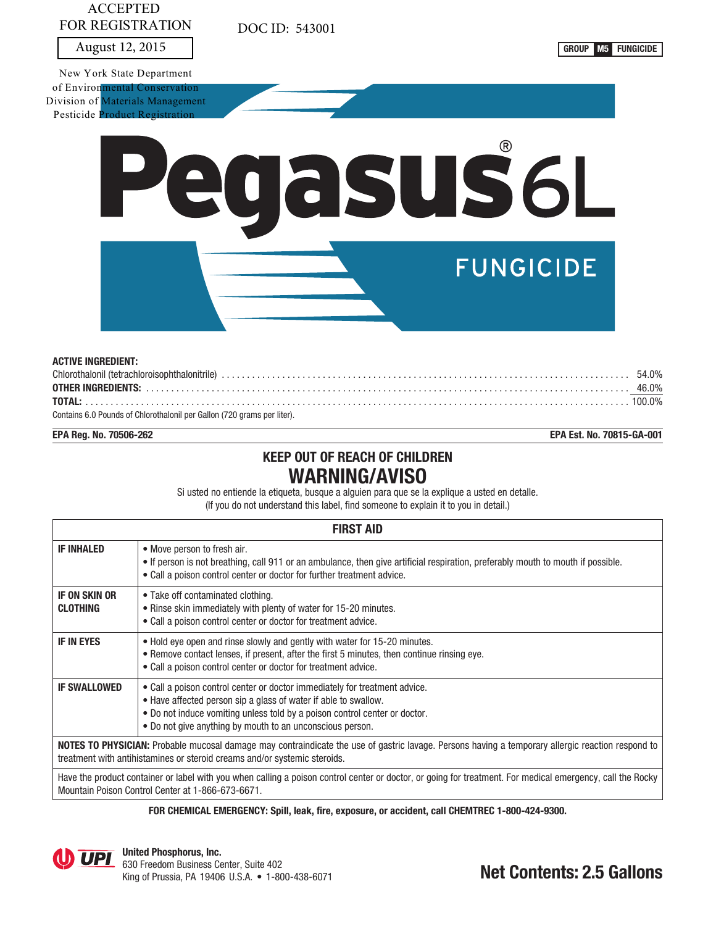# ACCEPTED FOR REGISTRATION

DOC ID: 543001

August 12, 2015 **GROUP M5 FUNGICIDE** 

New York State Department of Environmental Conservation Division of Materials Management Pesticide Product Registration



| <b>ACTIVE INGREDIENT:</b>                                               |  |
|-------------------------------------------------------------------------|--|
|                                                                         |  |
|                                                                         |  |
|                                                                         |  |
| Contains 6.0 Pounds of Chlorothalonil per Gallon (720 grams per liter). |  |

**EPA Reg. No. 70506-262 EPA Est. No. 70815-GA-001**

# **KEEP OUT OF REACH OF CHILDREN WARNING/AVISO**

Si usted no entiende la etiqueta, busque a alguien para que se la explique a usted en detalle. (If you do not understand this label, find someone to explain it to you in detail.)

| <b>FIRST AID</b>                                                                                                                                           |                                                                                                                                                                                                                                                                                          |  |  |  |  |
|------------------------------------------------------------------------------------------------------------------------------------------------------------|------------------------------------------------------------------------------------------------------------------------------------------------------------------------------------------------------------------------------------------------------------------------------------------|--|--|--|--|
| <b>IF INHALED</b>                                                                                                                                          | • Move person to fresh air.<br>. If person is not breathing, call 911 or an ambulance, then give artificial respiration, preferably mouth to mouth if possible.<br>• Call a poison control center or doctor for further treatment advice.                                                |  |  |  |  |
| <b>IF ON SKIN OR</b><br><b>CLOTHING</b>                                                                                                                    | • Take off contaminated clothing.<br>• Rinse skin immediately with plenty of water for 15-20 minutes.<br>• Call a poison control center or doctor for treatment advice.                                                                                                                  |  |  |  |  |
| <b>IF IN EYES</b>                                                                                                                                          | • Hold eye open and rinse slowly and gently with water for 15-20 minutes.<br>• Remove contact lenses, if present, after the first 5 minutes, then continue rinsing eye.<br>• Call a poison control center or doctor for treatment advice.                                                |  |  |  |  |
| <b>IF SWALLOWED</b>                                                                                                                                        | • Call a poison control center or doctor immediately for treatment advice.<br>• Have affected person sip a glass of water if able to swallow.<br>. Do not induce vomiting unless told by a poison control center or doctor.<br>• Do not give anything by mouth to an unconscious person. |  |  |  |  |
|                                                                                                                                                            | NOTES TO PHYSICIAN: Probable mucosal damage may contraindicate the use of gastric lavage. Persons having a temporary allergic reaction respond to<br>treatment with antihistamines or steroid creams and/or systemic steroids.                                                           |  |  |  |  |
| Have the product container or label with you when calling a poison control center or doctor, or going for treatment. For medical emergency, call the Rocky |                                                                                                                                                                                                                                                                                          |  |  |  |  |

Mountain Poison Control Center at 1-866-673-6671.

**FOR CHEMICAL EMERGENCY: Spill, leak, fire, exposure, or accident, call CHEMTREC 1-800-424-9300.**

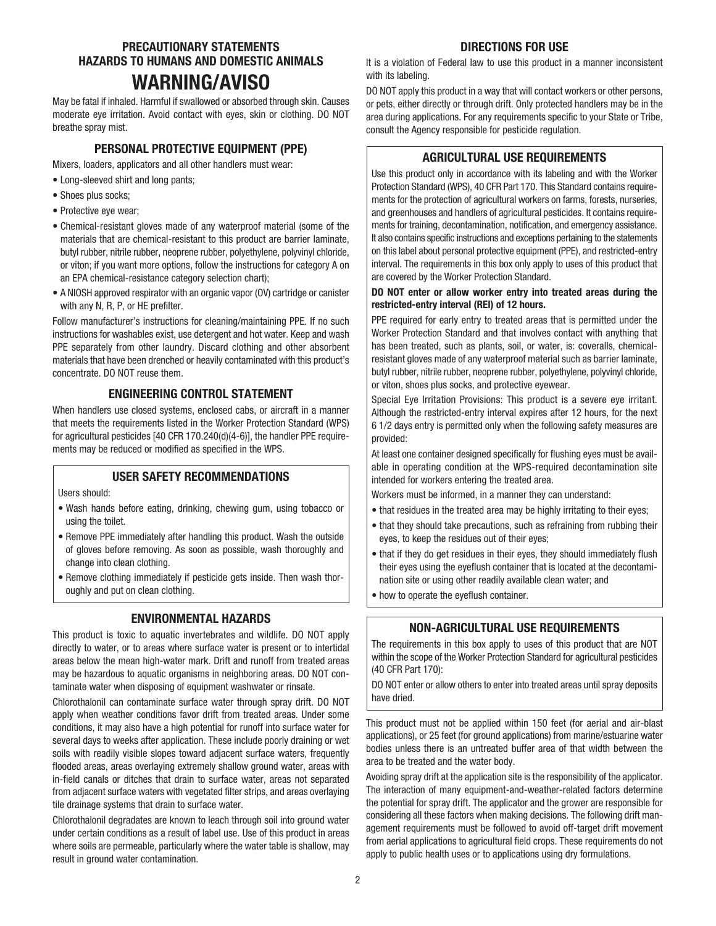# **PRECAUTIONARY STATEMENTS HAZARDS TO HUMANS AND DOMESTIC ANIMALS WARNING/AVISO**

May be fatal if inhaled. Harmful if swallowed or absorbed through skin. Causes moderate eye irritation. Avoid contact with eyes, skin or clothing. DO NOT breathe spray mist.

# **PERSONAL PROTECTIVE EQUIPMENT (PPE)**

Mixers, loaders, applicators and all other handlers must wear:

- Long-sleeved shirt and long pants;
- Shoes plus socks:
- Protective eye wear;
- Chemical-resistant gloves made of any waterproof material (some of the materials that are chemical-resistant to this product are barrier laminate, butyl rubber, nitrile rubber, neoprene rubber, polyethylene, polyvinyl chloride, or viton; if you want more options, follow the instructions for category A on an EPA chemical-resistance category selection chart);
- A NIOSH approved respirator with an organic vapor (OV) cartridge or canister with any N, R, P, or HE prefilter.

Follow manufacturer's instructions for cleaning/maintaining PPE. If no such instructions for washables exist, use detergent and hot water. Keep and wash PPE separately from other laundry. Discard clothing and other absorbent materials that have been drenched or heavily contaminated with this product's concentrate. DO NOT reuse them.

# **ENGINEERING CONTROL STATEMENT**

When handlers use closed systems, enclosed cabs, or aircraft in a manner that meets the requirements listed in the Worker Protection Standard (WPS) for agricultural pesticides [40 CFR 170.240(d)(4-6)], the handler PPE requirements may be reduced or modified as specified in the WPS.

## **USER SAFETY RECOMMENDATIONS**

Users should:

- Wash hands before eating, drinking, chewing gum, using tobacco or using the toilet.
- Remove PPE immediately after handling this product. Wash the outside of gloves before removing. As soon as possible, wash thoroughly and change into clean clothing.
- Remove clothing immediately if pesticide gets inside. Then wash thoroughly and put on clean clothing.

# **ENVIRONMENTAL HAZARDS**

This product is toxic to aquatic invertebrates and wildlife. DO NOT apply directly to water, or to areas where surface water is present or to intertidal areas below the mean high-water mark. Drift and runoff from treated areas may be hazardous to aquatic organisms in neighboring areas. DO NOT contaminate water when disposing of equipment washwater or rinsate.

Chlorothalonil can contaminate surface water through spray drift. DO NOT apply when weather conditions favor drift from treated areas. Under some conditions, it may also have a high potential for runoff into surface water for several days to weeks after application. These include poorly draining or wet soils with readily visible slopes toward adjacent surface waters, frequently flooded areas, areas overlaying extremely shallow ground water, areas with in-field canals or ditches that drain to surface water, areas not separated from adjacent surface waters with vegetated filter strips, and areas overlaying tile drainage systems that drain to surface water.

Chlorothalonil degradates are known to leach through soil into ground water under certain conditions as a result of label use. Use of this product in areas where soils are permeable, particularly where the water table is shallow, may result in ground water contamination.

## **DIRECTIONS FOR USE**

It is a violation of Federal law to use this product in a manner inconsistent with its labeling.

DO NOT apply this product in a way that will contact workers or other persons, or pets, either directly or through drift. Only protected handlers may be in the area during applications. For any requirements specific to your State or Tribe, consult the Agency responsible for pesticide regulation.

# **AGRICULTURAL USE REQUIREMENTS**

Use this product only in accordance with its labeling and with the Worker Protection Standard (WPS), 40 CFR Part 170. This Standard contains requirements for the protection of agricultural workers on farms, forests, nurseries, and greenhouses and handlers of agricultural pesticides. It contains requirements for training, decontamination, notification, and emergency assistance. It also contains specific instructions and exceptions pertaining to the statements on this label about personal protective equipment (PPE), and restricted-entry interval. The requirements in this box only apply to uses of this product that are covered by the Worker Protection Standard.

## **DO NOT enter or allow worker entry into treated areas during the restricted-entry interval (REI) of 12 hours.**

PPE required for early entry to treated areas that is permitted under the Worker Protection Standard and that involves contact with anything that has been treated, such as plants, soil, or water, is: coveralls, chemicalresistant gloves made of any waterproof material such as barrier laminate, butyl rubber, nitrile rubber, neoprene rubber, polyethylene, polyvinyl chloride, or viton, shoes plus socks, and protective eyewear.

Special Eye Irritation Provisions: This product is a severe eye irritant. Although the restricted-entry interval expires after 12 hours, for the next 6 1/2 days entry is permitted only when the following safety measures are provided:

At least one container designed specifically for flushing eyes must be available in operating condition at the WPS-required decontamination site intended for workers entering the treated area.

Workers must be informed, in a manner they can understand:

- that residues in the treated area may be highly irritating to their eyes;
- that they should take precautions, such as refraining from rubbing their eyes, to keep the residues out of their eyes;
- that if they do get residues in their eyes, they should immediately flush their eyes using the eyeflush container that is located at the decontamination site or using other readily available clean water; and
- how to operate the eyeflush container.

# **NON-AGRICULTURAL USE REQUIREMENTS**

The requirements in this box apply to uses of this product that are NOT within the scope of the Worker Protection Standard for agricultural pesticides (40 CFR Part 170):

DO NOT enter or allow others to enter into treated areas until spray deposits have dried.

This product must not be applied within 150 feet (for aerial and air-blast applications), or 25 feet (for ground applications) from marine/estuarine water bodies unless there is an untreated buffer area of that width between the area to be treated and the water body.

Avoiding spray drift at the application site is the responsibility of the applicator. The interaction of many equipment-and-weather-related factors determine the potential for spray drift. The applicator and the grower are responsible for considering all these factors when making decisions. The following drift management requirements must be followed to avoid off-target drift movement from aerial applications to agricultural field crops. These requirements do not apply to public health uses or to applications using dry formulations.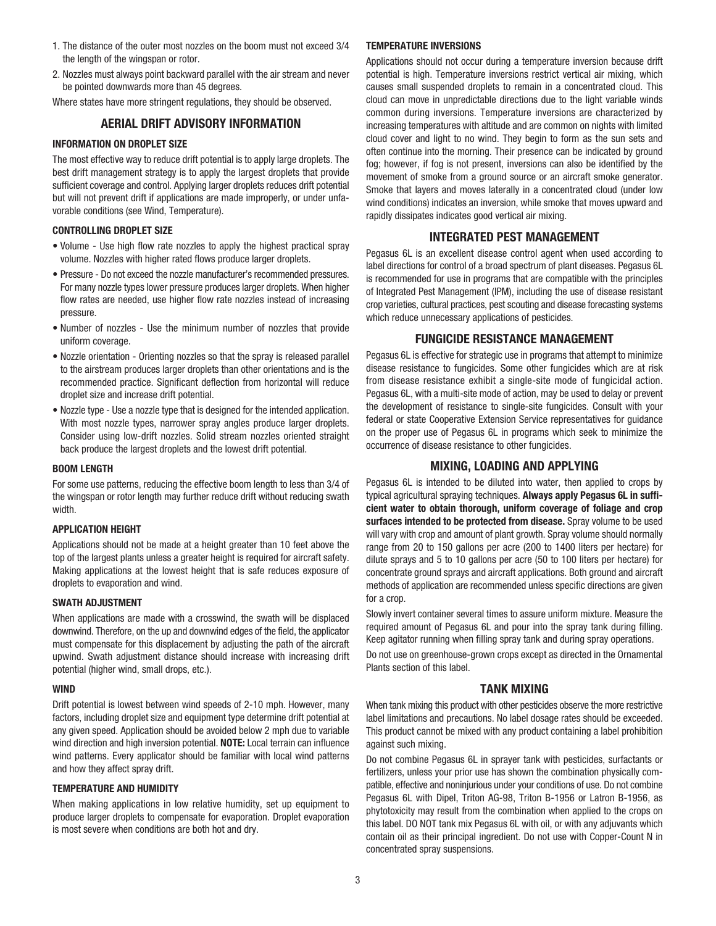- 1. The distance of the outer most nozzles on the boom must not exceed 3/4 the length of the wingspan or rotor.
- 2. Nozzles must always point backward parallel with the air stream and never be pointed downwards more than 45 degrees.

Where states have more stringent regulations, they should be observed.

## **AERIAL DRIFT ADVISORY INFORMATION**

#### **INFORMATION ON DROPLET SIZE**

The most effective way to reduce drift potential is to apply large droplets. The best drift management strategy is to apply the largest droplets that provide sufficient coverage and control. Applying larger droplets reduces drift potential but will not prevent drift if applications are made improperly, or under unfavorable conditions (see Wind, Temperature).

#### **CONTROLLING DROPLET SIZE**

- Volume Use high flow rate nozzles to apply the highest practical spray volume. Nozzles with higher rated flows produce larger droplets.
- Pressure Do not exceed the nozzle manufacturer's recommended pressures. For many nozzle types lower pressure produces larger droplets. When higher flow rates are needed, use higher flow rate nozzles instead of increasing pressure.
- Number of nozzles Use the minimum number of nozzles that provide uniform coverage.
- Nozzle orientation Orienting nozzles so that the spray is released parallel to the airstream produces larger droplets than other orientations and is the recommended practice. Significant deflection from horizontal will reduce droplet size and increase drift potential.
- Nozzle type Use a nozzle type that is designed for the intended application. With most nozzle types, narrower spray angles produce larger droplets. Consider using low-drift nozzles. Solid stream nozzles oriented straight back produce the largest droplets and the lowest drift potential.

#### **BOOM LENGTH**

For some use patterns, reducing the effective boom length to less than 3/4 of the wingspan or rotor length may further reduce drift without reducing swath width.

## **APPLICATION HEIGHT**

Applications should not be made at a height greater than 10 feet above the top of the largest plants unless a greater height is required for aircraft safety. Making applications at the lowest height that is safe reduces exposure of droplets to evaporation and wind.

#### **SWATH ADJUSTMENT**

When applications are made with a crosswind, the swath will be displaced downwind. Therefore, on the up and downwind edges of the field, the applicator must compensate for this displacement by adjusting the path of the aircraft upwind. Swath adjustment distance should increase with increasing drift potential (higher wind, small drops, etc.).

#### **WIND**

Drift potential is lowest between wind speeds of 2-10 mph. However, many factors, including droplet size and equipment type determine drift potential at any given speed. Application should be avoided below 2 mph due to variable wind direction and high inversion potential. **NOTE:** Local terrain can influence wind patterns. Every applicator should be familiar with local wind patterns and how they affect spray drift.

#### **TEMPERATURE AND HUMIDITY**

When making applications in low relative humidity, set up equipment to produce larger droplets to compensate for evaporation. Droplet evaporation is most severe when conditions are both hot and dry.

#### **TEMPERATURE INVERSIONS**

Applications should not occur during a temperature inversion because drift potential is high. Temperature inversions restrict vertical air mixing, which causes small suspended droplets to remain in a concentrated cloud. This cloud can move in unpredictable directions due to the light variable winds common during inversions. Temperature inversions are characterized by increasing temperatures with altitude and are common on nights with limited cloud cover and light to no wind. They begin to form as the sun sets and often continue into the morning. Their presence can be indicated by ground fog; however, if fog is not present, inversions can also be identified by the movement of smoke from a ground source or an aircraft smoke generator. Smoke that layers and moves laterally in a concentrated cloud (under low wind conditions) indicates an inversion, while smoke that moves upward and rapidly dissipates indicates good vertical air mixing.

## **INTEGRATED PEST MANAGEMENT**

Pegasus 6L is an excellent disease control agent when used according to label directions for control of a broad spectrum of plant diseases. Pegasus 6L is recommended for use in programs that are compatible with the principles of Integrated Pest Management (IPM), including the use of disease resistant crop varieties, cultural practices, pest scouting and disease forecasting systems which reduce unnecessary applications of pesticides.

## **FUNGICIDE RESISTANCE MANAGEMENT**

Pegasus 6L is effective for strategic use in programs that attempt to minimize disease resistance to fungicides. Some other fungicides which are at risk from disease resistance exhibit a single-site mode of fungicidal action. Pegasus 6L, with a multi-site mode of action, may be used to delay or prevent the development of resistance to single-site fungicides. Consult with your federal or state Cooperative Extension Service representatives for guidance on the proper use of Pegasus 6L in programs which seek to minimize the occurrence of disease resistance to other fungicides.

## **MIXING, LOADING AND APPLYING**

Pegasus 6L is intended to be diluted into water, then applied to crops by typical agricultural spraying techniques. **Always apply Pegasus 6L in sufficient water to obtain thorough, uniform coverage of foliage and crop surfaces intended to be protected from disease.** Spray volume to be used will vary with crop and amount of plant growth. Spray volume should normally range from 20 to 150 gallons per acre (200 to 1400 liters per hectare) for dilute sprays and 5 to 10 gallons per acre (50 to 100 liters per hectare) for concentrate ground sprays and aircraft applications. Both ground and aircraft methods of application are recommended unless specific directions are given for a crop.

Slowly invert container several times to assure uniform mixture. Measure the required amount of Pegasus 6L and pour into the spray tank during filling. Keep agitator running when filling spray tank and during spray operations.

Do not use on greenhouse-grown crops except as directed in the Ornamental Plants section of this label.

## **TANK MIXING**

When tank mixing this product with other pesticides observe the more restrictive label limitations and precautions. No label dosage rates should be exceeded. This product cannot be mixed with any product containing a label prohibition against such mixing.

Do not combine Pegasus 6L in sprayer tank with pesticides, surfactants or fertilizers, unless your prior use has shown the combination physically compatible, effective and noninjurious under your conditions of use. Do not combine Pegasus 6L with Dipel, Triton AG-98, Triton B-1956 or Latron B-1956, as phytotoxicity may result from the combination when applied to the crops on this label. DO NOT tank mix Pegasus 6L with oil, or with any adjuvants which contain oil as their principal ingredient. Do not use with Copper-Count N in concentrated spray suspensions.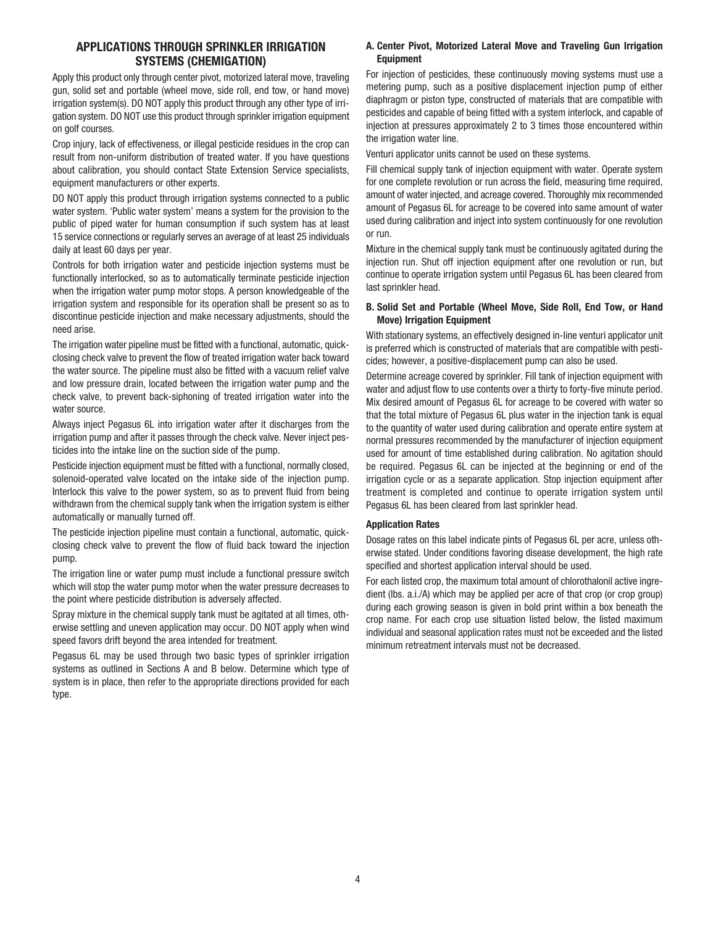# **APPLICATIONS THROUGH SPRINKLER IRRIGATION SYSTEMS (CHEMIGATION)**

Apply this product only through center pivot, motorized lateral move, traveling gun, solid set and portable (wheel move, side roll, end tow, or hand move) irrigation system(s). DO NOT apply this product through any other type of irrigation system. DO NOT use this product through sprinkler irrigation equipment on golf courses.

Crop injury, lack of effectiveness, or illegal pesticide residues in the crop can result from non-uniform distribution of treated water. If you have questions about calibration, you should contact State Extension Service specialists, equipment manufacturers or other experts.

DO NOT apply this product through irrigation systems connected to a public water system. 'Public water system' means a system for the provision to the public of piped water for human consumption if such system has at least 15 service connections or regularly serves an average of at least 25 individuals daily at least 60 days per year.

Controls for both irrigation water and pesticide injection systems must be functionally interlocked, so as to automatically terminate pesticide injection when the irrigation water pump motor stops. A person knowledgeable of the irrigation system and responsible for its operation shall be present so as to discontinue pesticide injection and make necessary adjustments, should the need arise.

The irrigation water pipeline must be fitted with a functional, automatic, quickclosing check valve to prevent the flow of treated irrigation water back toward the water source. The pipeline must also be fitted with a vacuum relief valve and low pressure drain, located between the irrigation water pump and the check valve, to prevent back-siphoning of treated irrigation water into the water source.

Always inject Pegasus 6L into irrigation water after it discharges from the irrigation pump and after it passes through the check valve. Never inject pesticides into the intake line on the suction side of the pump.

Pesticide injection equipment must be fitted with a functional, normally closed, solenoid-operated valve located on the intake side of the injection pump. Interlock this valve to the power system, so as to prevent fluid from being withdrawn from the chemical supply tank when the irrigation system is either automatically or manually turned off.

The pesticide injection pipeline must contain a functional, automatic, quickclosing check valve to prevent the flow of fluid back toward the injection pump.

The irrigation line or water pump must include a functional pressure switch which will stop the water pump motor when the water pressure decreases to the point where pesticide distribution is adversely affected.

Spray mixture in the chemical supply tank must be agitated at all times, otherwise settling and uneven application may occur. DO NOT apply when wind speed favors drift beyond the area intended for treatment.

Pegasus 6L may be used through two basic types of sprinkler irrigation systems as outlined in Sections A and B below. Determine which type of system is in place, then refer to the appropriate directions provided for each type.

### **A. Center Pivot, Motorized Lateral Move and Traveling Gun Irrigation Equipment**

For injection of pesticides, these continuously moving systems must use a metering pump, such as a positive displacement injection pump of either diaphragm or piston type, constructed of materials that are compatible with pesticides and capable of being fitted with a system interlock, and capable of injection at pressures approximately 2 to 3 times those encountered within the irrigation water line.

Venturi applicator units cannot be used on these systems.

Fill chemical supply tank of injection equipment with water. Operate system for one complete revolution or run across the field, measuring time required, amount of water injected, and acreage covered. Thoroughly mix recommended amount of Pegasus 6L for acreage to be covered into same amount of water used during calibration and inject into system continuously for one revolution or run.

Mixture in the chemical supply tank must be continuously agitated during the injection run. Shut off injection equipment after one revolution or run, but continue to operate irrigation system until Pegasus 6L has been cleared from last sprinkler head.

#### **B. Solid Set and Portable (Wheel Move, Side Roll, End Tow, or Hand Move) Irrigation Equipment**

With stationary systems, an effectively designed in-line venturi applicator unit is preferred which is constructed of materials that are compatible with pesticides; however, a positive-displacement pump can also be used.

Determine acreage covered by sprinkler. Fill tank of injection equipment with water and adjust flow to use contents over a thirty to forty-five minute period. Mix desired amount of Pegasus 6L for acreage to be covered with water so that the total mixture of Pegasus 6L plus water in the injection tank is equal to the quantity of water used during calibration and operate entire system at normal pressures recommended by the manufacturer of injection equipment used for amount of time established during calibration. No agitation should be required. Pegasus 6L can be injected at the beginning or end of the irrigation cycle or as a separate application. Stop injection equipment after treatment is completed and continue to operate irrigation system until Pegasus 6L has been cleared from last sprinkler head.

#### **Application Rates**

Dosage rates on this label indicate pints of Pegasus 6L per acre, unless otherwise stated. Under conditions favoring disease development, the high rate specified and shortest application interval should be used.

For each listed crop, the maximum total amount of chlorothalonil active ingredient (lbs. a.i./A) which may be applied per acre of that crop (or crop group) during each growing season is given in bold print within a box beneath the crop name. For each crop use situation listed below, the listed maximum individual and seasonal application rates must not be exceeded and the listed minimum retreatment intervals must not be decreased.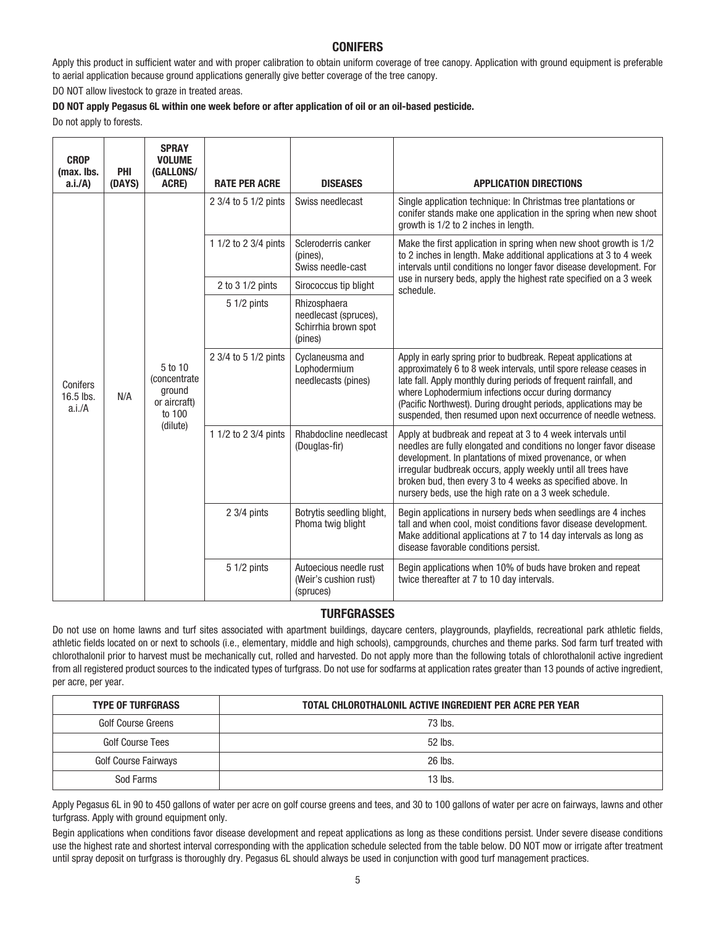# **CONIFERS**

Apply this product in sufficient water and with proper calibration to obtain uniform coverage of tree canopy. Application with ground equipment is preferable to aerial application because ground applications generally give better coverage of the tree canopy.

DO NOT allow livestock to graze in treated areas.

#### **DO NOT apply Pegasus 6L within one week before or after application of oil or an oil-based pesticide.**

Do not apply to forests.

| <b>CROP</b><br>(max. lbs.<br>$a.i.A$ ) | PHI<br>(DAYS) | <b>SPRAY</b><br><b>VOLUME</b><br>(GALLONS/<br>ACRE)                             | <b>RATE PER ACRE</b> | <b>DISEASES</b>                                                          | <b>APPLICATION DIRECTIONS</b>                                                                                                                                                                                                                                                                                                                                                                            |
|----------------------------------------|---------------|---------------------------------------------------------------------------------|----------------------|--------------------------------------------------------------------------|----------------------------------------------------------------------------------------------------------------------------------------------------------------------------------------------------------------------------------------------------------------------------------------------------------------------------------------------------------------------------------------------------------|
| Conifers<br>16.5 lbs.<br>a.i.A         | N/A           | 5 to 10<br><i>(concentrate)</i><br>ground<br>or aircraft)<br>to 100<br>(dilute) | 2 3/4 to 5 1/2 pints | Swiss needlecast                                                         | Single application technique: In Christmas tree plantations or<br>conifer stands make one application in the spring when new shoot<br>growth is 1/2 to 2 inches in length.                                                                                                                                                                                                                               |
|                                        |               |                                                                                 | 1 1/2 to 2 3/4 pints | Scleroderris canker<br>(pines),<br>Swiss needle-cast                     | Make the first application in spring when new shoot growth is 1/2<br>to 2 inches in length. Make additional applications at 3 to 4 week<br>intervals until conditions no longer favor disease development. For                                                                                                                                                                                           |
|                                        |               |                                                                                 | 2 to 3 1/2 pints     | Sirococcus tip blight                                                    | use in nursery beds, apply the highest rate specified on a 3 week<br>schedule.                                                                                                                                                                                                                                                                                                                           |
|                                        |               |                                                                                 | $51/2$ pints         | Rhizosphaera<br>needlecast (spruces),<br>Schirrhia brown spot<br>(pines) |                                                                                                                                                                                                                                                                                                                                                                                                          |
|                                        |               |                                                                                 | 2 3/4 to 5 1/2 pints | Cyclaneusma and<br>Lophodermium<br>needlecasts (pines)                   | Apply in early spring prior to budbreak. Repeat applications at<br>approximately 6 to 8 week intervals, until spore release ceases in<br>late fall. Apply monthly during periods of frequent rainfall, and<br>where Lophodermium infections occur during dormancy<br>(Pacific Northwest). During drought periods, applications may be<br>suspended, then resumed upon next occurrence of needle wetness. |
|                                        |               |                                                                                 | 1 1/2 to 2 3/4 pints | Rhabdocline needlecast<br>(Douglas-fir)                                  | Apply at budbreak and repeat at 3 to 4 week intervals until<br>needles are fully elongated and conditions no longer favor disease<br>development. In plantations of mixed provenance, or when<br>irregular budbreak occurs, apply weekly until all trees have<br>broken bud, then every 3 to 4 weeks as specified above. In<br>nursery beds, use the high rate on a 3 week schedule.                     |
|                                        |               |                                                                                 | 2 3/4 pints          | Botrytis seedling blight,<br>Phoma twig blight                           | Begin applications in nursery beds when seedlings are 4 inches<br>tall and when cool, moist conditions favor disease development.<br>Make additional applications at 7 to 14 day intervals as long as<br>disease favorable conditions persist.                                                                                                                                                           |
|                                        |               |                                                                                 | 5 1/2 pints          | Autoecious needle rust<br>(Weir's cushion rust)<br>(spruces)             | Begin applications when 10% of buds have broken and repeat<br>twice thereafter at 7 to 10 day intervals.                                                                                                                                                                                                                                                                                                 |

## **TURFGRASSES**

Do not use on home lawns and turf sites associated with apartment buildings, daycare centers, playgrounds, playfields, recreational park athletic fields, athletic fields located on or next to schools (i.e., elementary, middle and high schools), campgrounds, churches and theme parks. Sod farm turf treated with chlorothalonil prior to harvest must be mechanically cut, rolled and harvested. Do not apply more than the following totals of chlorothalonil active ingredient from all registered product sources to the indicated types of turfgrass. Do not use for sodfarms at application rates greater than 13 pounds of active ingredient, per acre, per year.

| <b>TYPE OF TURFGRASS</b>    | TOTAL CHLOROTHALONIL ACTIVE INGREDIENT PER ACRE PER YEAR |
|-----------------------------|----------------------------------------------------------|
| Golf Course Greens          | 73 lbs.                                                  |
| Golf Course Tees            | 52 lbs.                                                  |
| <b>Golf Course Fairways</b> | 26 lbs.                                                  |
| Sod Farms                   | $13$ lbs.                                                |

Apply Pegasus 6L in 90 to 450 gallons of water per acre on golf course greens and tees, and 30 to 100 gallons of water per acre on fairways, lawns and other turfgrass. Apply with ground equipment only.

Begin applications when conditions favor disease development and repeat applications as long as these conditions persist. Under severe disease conditions use the highest rate and shortest interval corresponding with the application schedule selected from the table below. DO NOT mow or irrigate after treatment until spray deposit on turfgrass is thoroughly dry. Pegasus 6L should always be used in conjunction with good turf management practices.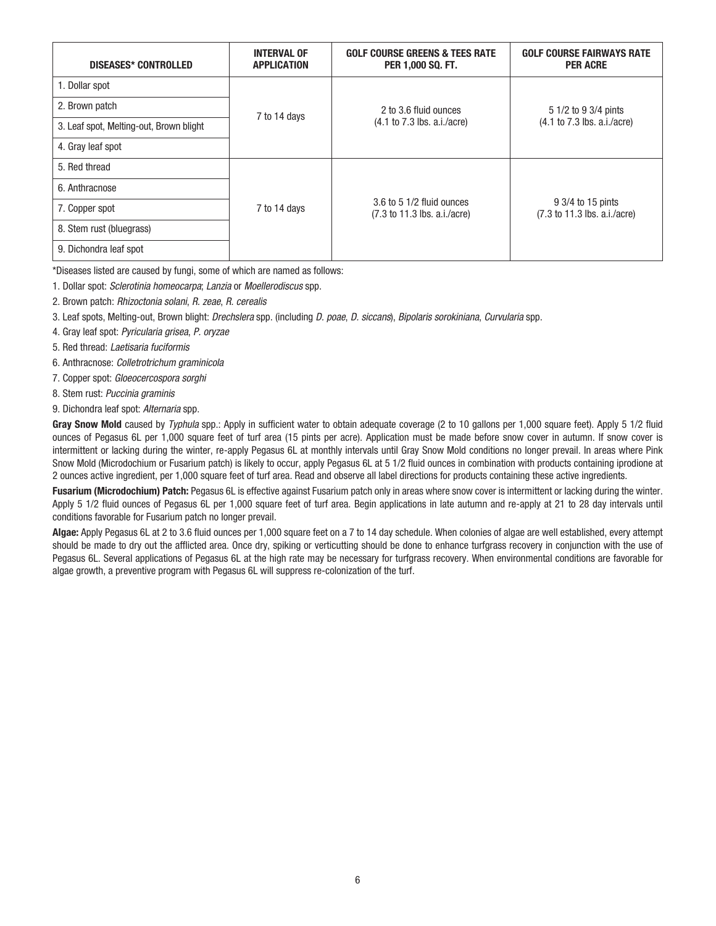| DISEASES* CONTROLLED                    | <b>INTERVAL OF</b><br><b>APPLICATION</b> | <b>GOLF COURSE GREENS &amp; TEES RATE</b><br>PER 1,000 SQ. FT.                | <b>GOLF COURSE FAIRWAYS RATE</b><br><b>PER ACRE</b>                   |
|-----------------------------------------|------------------------------------------|-------------------------------------------------------------------------------|-----------------------------------------------------------------------|
| 1. Dollar spot                          |                                          |                                                                               |                                                                       |
| 2. Brown patch                          | 7 to 14 days                             | 2 to 3.6 fluid ounces<br>$(4.1 \text{ to } 7.3 \text{ lbs. a.i/acre})$        | 5 1/2 to 9 3/4 pints<br>$(4.1 \text{ to } 7.3 \text{ lbs. a.i/acre})$ |
| 3. Leaf spot, Melting-out, Brown blight |                                          |                                                                               |                                                                       |
| 4. Gray leaf spot                       |                                          |                                                                               |                                                                       |
| 5. Red thread                           |                                          |                                                                               |                                                                       |
| 6. Anthracnose                          |                                          | $3.6$ to 5 1/2 fluid ounces<br>$(7.3 \text{ to } 11.3 \text{ lbs. a.i/acre})$ | 9 3/4 to 15 pints<br>(7.3 to 11.3 lbs. a.i./acre)                     |
| 7. Copper spot                          | 7 to 14 days                             |                                                                               |                                                                       |
| 8. Stem rust (bluegrass)                |                                          |                                                                               |                                                                       |
| 9. Dichondra leaf spot                  |                                          |                                                                               |                                                                       |

\*Diseases listed are caused by fungi, some of which are named as follows:

1. Dollar spot: Sclerotinia homeocarpa; Lanzia or Moellerodiscus spp.

2. Brown patch: Rhizoctonia solani, R. zeae, R. cerealis

3. Leaf spots, Melting-out, Brown blight: Drechslera spp. (including D. poae, D. siccans), Bipolaris sorokiniana, Curvularia spp.

4. Gray leaf spot: Pyricularia grisea, P. oryzae

5. Red thread: Laetisaria fuciformis

6. Anthracnose: Colletrotrichum graminicola

7. Copper spot: Gloeocercospora sorghi

8. Stem rust: Puccinia graminis

9. Dichondra leaf spot: Alternaria spp.

Gray Snow Mold caused by Typhula spp.: Apply in sufficient water to obtain adequate coverage (2 to 10 gallons per 1,000 square feet). Apply 5 1/2 fluid ounces of Pegasus 6L per 1,000 square feet of turf area (15 pints per acre). Application must be made before snow cover in autumn. If snow cover is intermittent or lacking during the winter, re-apply Pegasus 6L at monthly intervals until Gray Snow Mold conditions no longer prevail. In areas where Pink Snow Mold (Microdochium or Fusarium patch) is likely to occur, apply Pegasus 6L at 5 1/2 fluid ounces in combination with products containing iprodione at 2 ounces active ingredient, per 1,000 square feet of turf area. Read and observe all label directions for products containing these active ingredients.

**Fusarium (Microdochium) Patch:** Pegasus 6L is effective against Fusarium patch only in areas where snow cover is intermittent or lacking during the winter. Apply 5 1/2 fluid ounces of Pegasus 6L per 1,000 square feet of turf area. Begin applications in late autumn and re-apply at 21 to 28 day intervals until conditions favorable for Fusarium patch no longer prevail.

**Algae:** Apply Pegasus 6L at 2 to 3.6 fluid ounces per 1,000 square feet on a 7 to 14 day schedule. When colonies of algae are well established, every attempt should be made to dry out the afflicted area. Once dry, spiking or verticutting should be done to enhance turfgrass recovery in conjunction with the use of Pegasus 6L. Several applications of Pegasus 6L at the high rate may be necessary for turfgrass recovery. When environmental conditions are favorable for algae growth, a preventive program with Pegasus 6L will suppress re-colonization of the turf.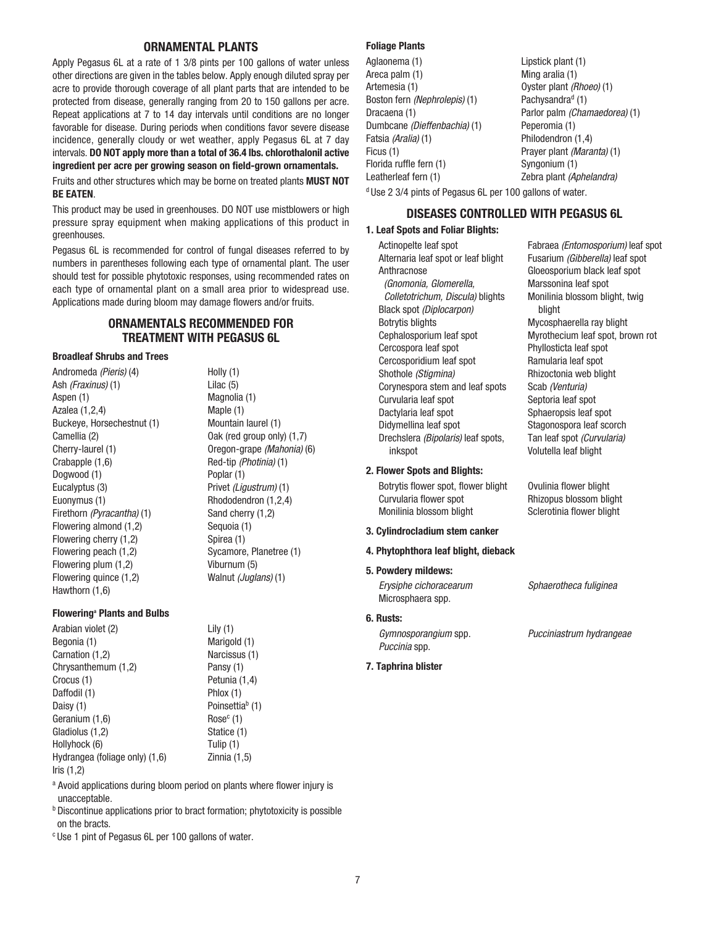## **ORNAMENTAL PLANTS**

Apply Pegasus 6L at a rate of 1 3/8 pints per 100 gallons of water unless other directions are given in the tables below. Apply enough diluted spray per acre to provide thorough coverage of all plant parts that are intended to be protected from disease, generally ranging from 20 to 150 gallons per acre. Repeat applications at 7 to 14 day intervals until conditions are no longer favorable for disease. During periods when conditions favor severe disease incidence, generally cloudy or wet weather, apply Pegasus 6L at 7 day intervals. **DO NOT apply more than a total of 36.4 lbs. chlorothalonil active ingredient per acre per growing season on field-grown ornamentals.**

Fruits and other structures which may be borne on treated plants **MUST NOT BE EATEN**.

This product may be used in greenhouses. DO NOT use mistblowers or high pressure spray equipment when making applications of this product in greenhouses.

Pegasus 6L is recommended for control of fungal diseases referred to by numbers in parentheses following each type of ornamental plant. The user should test for possible phytotoxic responses, using recommended rates on each type of ornamental plant on a small area prior to widespread use. Applications made during bloom may damage flowers and/or fruits.

# **ORNAMENTALS RECOMMENDED FOR TREATMENT WITH PEGASUS 6L**

Holly (1) Lilac (5) Magnolia (1) Maple (1) Mountain laurel (1) Oak (red group only) (1,7) Oregon-grape (Mahonia) (6) Red-tip (Photinia) (1)

Poplar (1)

Privet (Ligustrum) (1) Rhododendron (1,2,4) Sand cherry (1,2) Sequoia (1) Spirea (1)

Sycamore, Planetree (1)

Viburnum (5) Walnut (Juglans) (1)

Lily (1) Marigold (1) Narcissus (1) Pansy (1) Petunia (1,4) Phlox (1) Poinsettia<sup>b</sup> (1)  $Rose<sup>c</sup>$  (1) Statice (1) Tulip (1) Zinnia (1,5)

## **Broadleaf Shrubs and Trees**

Andromeda (Pieris) (4) Ash (Fraxinus) (1) Aspen (1) Azalea (1,2,4) Buckeye, Horsechestnut (1) Camellia (2) Cherry-laurel (1) Crabapple (1,6) Dogwood (1) Eucalyptus (3) Euonymus (1) Firethorn (Pyracantha) (1) Flowering almond (1,2) Flowering cherry (1,2) Flowering peach (1,2) Flowering plum (1,2) Flowering quince (1,2) Hawthorn (1,6)

#### **Floweringa Plants and Bulbs**

Arabian violet (2) Begonia (1) Carnation (1,2) Chrysanthemum (1,2) Crocus (1) Daffodil (1) Daisy (1) Geranium (1,6) Gladiolus (1,2) Hollyhock (6) Hydrangea (foliage only) (1,6) Iris (1,2)

<sup>a</sup> Avoid applications during bloom period on plants where flower injury is unacceptable.

**b** Discontinue applications prior to bract formation; phytotoxicity is possible on the bracts.

c Use 1 pint of Pegasus 6L per 100 gallons of water.

#### **Foliage Plants**

Aglaonema (1) Areca palm (1) Artemesia (1) Boston fern (Nephrolepis) (1) Dracaena (1) Dumbcane (Dieffenbachia) (1) Fatsia (Aralia) (1) Ficus (1) Florida ruffle fern (1) Leatherleaf fern (1) Lipstick plant (1) Ming aralia (1) Oyster plant (Rhoeo) (1) Pachysandra<sup>d</sup> (1) Parlor palm (Chamaedorea) (1) Peperomia (1) Philodendron (1,4) Prayer plant (Maranta) (1) Syngonium (1) Zebra plant (Aphelandra)

d Use 2 3/4 pints of Pegasus 6L per 100 gallons of water.

## **DISEASES CONTROLLED WITH PEGASUS 6L**

#### **1. Leaf Spots and Foliar Blights:**

Actinopelte leaf spot Alternaria leaf spot or leaf blight Anthracnose (Gnomonia, Glomerella, Colletotrichum, Discula) blights Black spot (Diplocarpon) Botrytis blights Cephalosporium leaf spot Cercospora leaf spot Cercosporidium leaf spot Shothole (Stigmina) Corynespora stem and leaf spots Curvularia leaf spot Dactylaria leaf spot Didymellina leaf spot Drechslera (Bipolaris) leaf spots, inkspot

#### **2. Flower Spots and Blights:**

Botrytis flower spot, flower blight Curvularia flower spot Monilinia blossom blight

#### **3. Cylindrocladium stem canker**

#### **4. Phytophthora leaf blight, dieback**

#### **5. Powdery mildews:**

Erysiphe cichoracearum Microsphaera spp.

## **6. Rusts:**

Gymnosporangium spp. Puccinia spp.

### **7. Taphrina blister**

Fusarium (Gibberella) leaf spot Gloeosporium black leaf spot Marssonina leaf spot Monilinia blossom blight, twig blight Mycosphaerella ray blight Myrothecium leaf spot, brown rot Phyllosticta leaf spot Ramularia leaf spot Rhizoctonia web blight Scab (Venturia) Septoria leaf spot Sphaeropsis leaf spot Stagonospora leaf scorch Tan leaf spot (Curvularia) Volutella leaf blight

Fabraea (Entomosporium) leaf spot

Ovulinia flower blight Rhizopus blossom blight Sclerotinia flower blight

Sphaerotheca fuliginea

Pucciniastrum hydrangeae